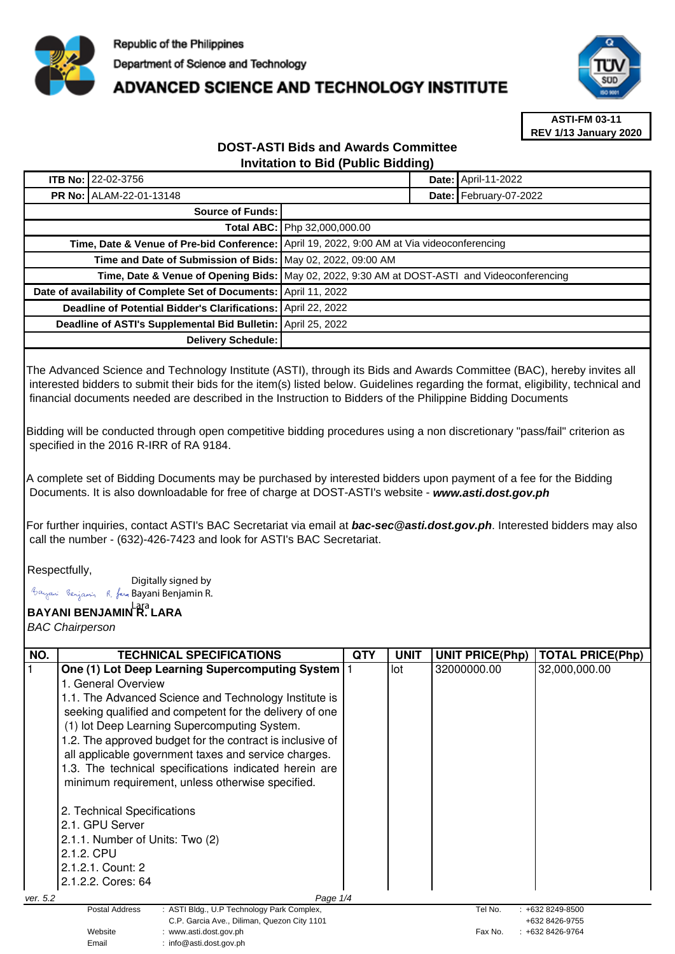

## **ADVANCED SCIENCE AND TECHNOLOGY INSTITUTE**



**ASTI-FM 03-11 REV 1/13 January 2020**

## **DOST-ASTI Bids and Awards Committee Invitation to Bid (Public Bidding)**

| <b>ITB No: 22-02-3756</b>                                                                    |                              | <b>Date: April-11-2022</b> |
|----------------------------------------------------------------------------------------------|------------------------------|----------------------------|
| <b>PR No: ALAM-22-01-13148</b>                                                               |                              | Date: February-07-2022     |
| Source of Funds:                                                                             |                              |                            |
|                                                                                              | Total ABC: Php 32,000,000.00 |                            |
| Time, Date & Venue of Pre-bid Conference: April 19, 2022, 9:00 AM at Via videoconferencing   |                              |                            |
| Time and Date of Submission of Bids: May 02, 2022, 09:00 AM                                  |                              |                            |
| Time, Date & Venue of Opening Bids: May 02, 2022, 9:30 AM at DOST-ASTI and Videoconferencing |                              |                            |
| Date of availability of Complete Set of Documents: April 11, 2022                            |                              |                            |
| Deadline of Potential Bidder's Clarifications: April 22, 2022                                |                              |                            |
| Deadline of ASTI's Supplemental Bid Bulletin: April 25, 2022                                 |                              |                            |
| Delivery Schedule:                                                                           |                              |                            |

The Advanced Science and Technology Institute (ASTI), through its Bids and Awards Committee (BAC), hereby invites all interested bidders to submit their bids for the item(s) listed below. Guidelines regarding the format, eligibility, technical and financial documents needed are described in the Instruction to Bidders of the Philippine Bidding Documents

Bidding will be conducted through open competitive bidding procedures using a non discretionary "pass/fail" criterion as specified in the 2016 R-IRR of RA 9184.

A complete set of Bidding Documents may be purchased by interested bidders upon payment of a fee for the Bidding Documents. It is also downloadable for free of charge at DOST-ASTI's website - **www.asti.dost.gov.ph**

For further inquiries, contact ASTI's BAC Secretariat via email at **bac-sec@asti.dost.gov.ph**. Interested bidders may also call the number - (632)-426-7423 and look for ASTI's BAC Secretariat.

Respectfully,

Digitally signed by Bayani Benjamin R. fan Bayani Benjamin R.

Email : info@asti.dost.gov.ph

**BAYANI BENJAMIN R. LARA**  Lara

BAC Chairperson

| NO.      | TECHNICAL SPECIFICATIONS                                                       | QTY | UNIT | <b>UNIT PRICE(Php)</b> | <b>TOTAL PRICE(Php)</b>          |
|----------|--------------------------------------------------------------------------------|-----|------|------------------------|----------------------------------|
|          | One (1) Lot Deep Learning Supercomputing System                                |     | lot  | 32000000.00            | 32,000,000.00                    |
|          | 1. General Overview                                                            |     |      |                        |                                  |
|          |                                                                                |     |      |                        |                                  |
|          | 1.1. The Advanced Science and Technology Institute is                          |     |      |                        |                                  |
|          | seeking qualified and competent for the delivery of one                        |     |      |                        |                                  |
|          | (1) lot Deep Learning Supercomputing System.                                   |     |      |                        |                                  |
|          | 1.2. The approved budget for the contract is inclusive of                      |     |      |                        |                                  |
|          | all applicable government taxes and service charges.                           |     |      |                        |                                  |
|          | 1.3. The technical specifications indicated herein are                         |     |      |                        |                                  |
|          | minimum requirement, unless otherwise specified.                               |     |      |                        |                                  |
|          |                                                                                |     |      |                        |                                  |
|          | 2. Technical Specifications                                                    |     |      |                        |                                  |
|          | 2.1. GPU Server                                                                |     |      |                        |                                  |
|          | 2.1.1. Number of Units: Two (2)                                                |     |      |                        |                                  |
|          | 2.1.2. CPU                                                                     |     |      |                        |                                  |
|          | 2.1.2.1. Count: 2                                                              |     |      |                        |                                  |
|          | 2.1.2.2. Cores: 64                                                             |     |      |                        |                                  |
|          |                                                                                |     |      |                        |                                  |
| ver. 5.2 | Page 1/4                                                                       |     |      |                        |                                  |
|          | Postal Address<br>: ASTI Bldg., U.P Technology Park Complex,                   |     |      | Tel No.                | $: +6328249 - 8500$              |
|          | C.P. Garcia Ave., Diliman, Quezon City 1101<br>Website<br>www.asti.dost.gov.ph |     |      | Fax No.                | +632 8426-9755<br>+632 8426-9764 |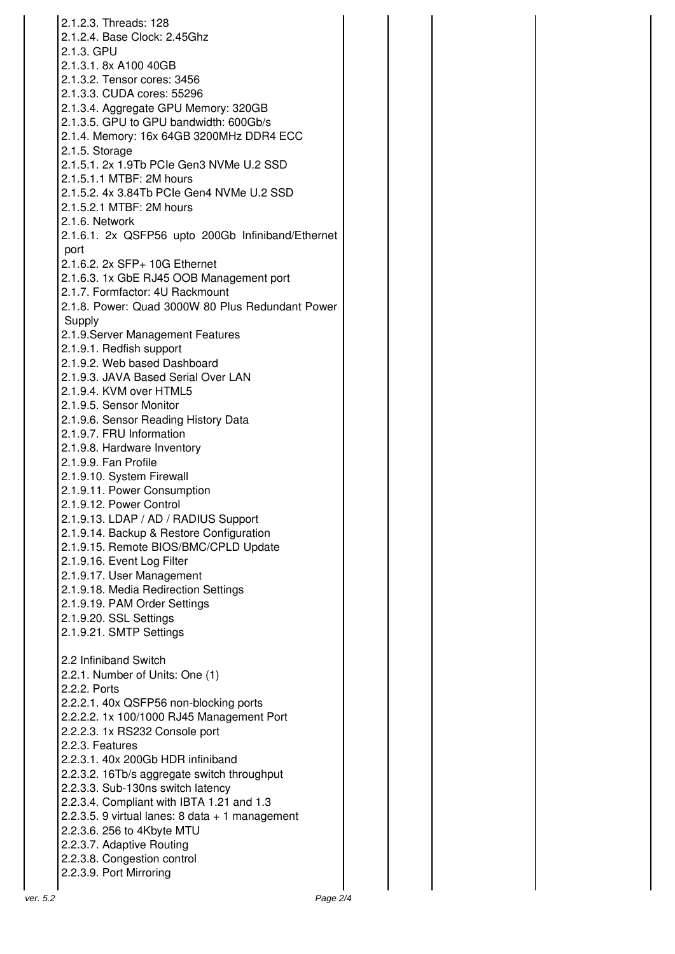| 2.1.2.3. Threads: 128                              |
|----------------------------------------------------|
| 2.1.2.4. Base Clock: 2.45Ghz                       |
| 2.1.3. GPU                                         |
| 2.1.3.1. 8x A100 40GB                              |
| 2.1.3.2. Tensor cores: 3456                        |
| 2.1.3.3. CUDA cores: 55296                         |
| 2.1.3.4. Aggregate GPU Memory: 320GB               |
| 2.1.3.5. GPU to GPU bandwidth: 600Gb/s             |
| 2.1.4. Memory: 16x 64GB 3200MHz DDR4 ECC           |
| 2.1.5. Storage                                     |
| 2.1.5.1. 2x 1.9Tb PCIe Gen3 NVMe U.2 SSD           |
| 2.1.5.1.1 MTBF: 2M hours                           |
|                                                    |
| 2.1.5.2. 4x 3.84Tb PCle Gen4 NVMe U.2 SSD          |
| 2.1.5.2.1 MTBF: 2M hours                           |
| 2.1.6. Network                                     |
| 2.1.6.1. 2x QSFP56 upto 200Gb Infiniband/Ethernet  |
| port                                               |
| 2.1.6.2. 2x SFP+ 10G Ethernet                      |
| 2.1.6.3. 1x GbE RJ45 OOB Management port           |
| 2.1.7. Formfactor: 4U Rackmount                    |
| 2.1.8. Power: Quad 3000W 80 Plus Redundant Power   |
| Supply                                             |
| 2.1.9. Server Management Features                  |
| 2.1.9.1. Redfish support                           |
| 2.1.9.2. Web based Dashboard                       |
| 2.1.9.3. JAVA Based Serial Over LAN                |
| 2.1.9.4. KVM over HTML5                            |
|                                                    |
| 2.1.9.5. Sensor Monitor                            |
| 2.1.9.6. Sensor Reading History Data               |
| 2.1.9.7. FRU Information                           |
| 2.1.9.8. Hardware Inventory                        |
| 2.1.9.9. Fan Profile                               |
| 2.1.9.10. System Firewall                          |
| 2.1.9.11. Power Consumption                        |
| 2.1.9.12. Power Control                            |
| 2.1.9.13. LDAP / AD / RADIUS Support               |
| 2.1.9.14. Backup & Restore Configuration           |
| 2.1.9.15. Remote BIOS/BMC/CPLD Update              |
| 2.1.9.16. Event Log Filter                         |
| 2.1.9.17. User Management                          |
| 2.1.9.18. Media Redirection Settings               |
| 2.1.9.19. PAM Order Settings                       |
| 2.1.9.20. SSL Settings                             |
| 2.1.9.21. SMTP Settings                            |
|                                                    |
| 2.2 Infiniband Switch                              |
| 2.2.1. Number of Units: One (1)                    |
| 2.2.2. Ports                                       |
|                                                    |
| 2.2.2.1. 40x QSFP56 non-blocking ports             |
| 2.2.2.2. 1x 100/1000 RJ45 Management Port          |
| 2.2.2.3. 1x RS232 Console port                     |
| 2.2.3. Features                                    |
| 2.2.3.1. 40x 200Gb HDR infiniband                  |
| 2.2.3.2. 16Tb/s aggregate switch throughput        |
| 2.2.3.3. Sub-130ns switch latency                  |
| 2.2.3.4. Compliant with IBTA 1.21 and 1.3          |
| 2.2.3.5. 9 virtual lanes: $8$ data $+1$ management |
| 2.2.3.6. 256 to 4Kbyte MTU                         |
| 2.2.3.7. Adaptive Routing                          |
| 2.2.3.8. Congestion control                        |
| 2.2.3.9. Port Mirroring                            |
|                                                    |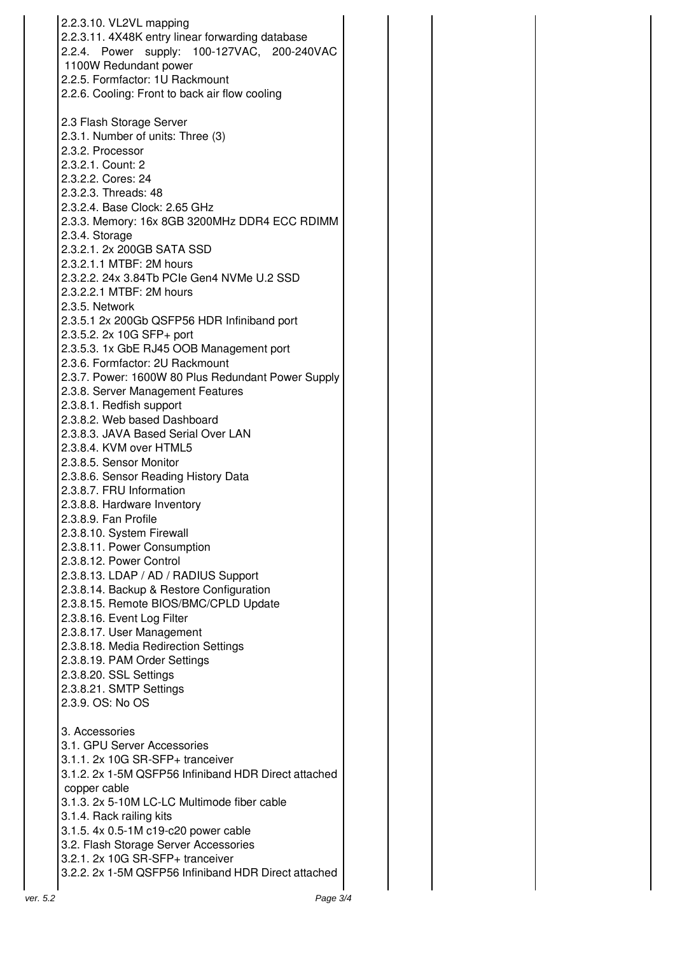|          | 2.2.3.10. VL2VL mapping<br>2.2.3.11. 4X48K entry linear forwarding database<br>2.2.4. Power supply: 100-127VAC, 200-240VAC<br>1100W Redundant power<br>2.2.5. Formfactor: 1U Rackmount<br>2.2.6. Cooling: Front to back air flow cooling |  |
|----------|------------------------------------------------------------------------------------------------------------------------------------------------------------------------------------------------------------------------------------------|--|
|          | 2.3 Flash Storage Server<br>2.3.1. Number of units: Three (3)<br>2.3.2. Processor<br>2.3.2.1. Count: 2<br>2.3.2.2. Cores: 24<br>2.3.2.3. Threads: 48<br>2.3.2.4. Base Clock: 2.65 GHz                                                    |  |
|          | 2.3.3. Memory: 16x 8GB 3200MHz DDR4 ECC RDIMM<br>2.3.4. Storage<br>2.3.2.1. 2x 200GB SATA SSD                                                                                                                                            |  |
|          | 2.3.2.1.1 MTBF: 2M hours<br>2.3.2.2. 24x 3.84Tb PCIe Gen4 NVMe U.2 SSD<br>2.3.2.2.1 MTBF: 2M hours<br>2.3.5. Network                                                                                                                     |  |
|          | 2.3.5.1 2x 200Gb QSFP56 HDR Infiniband port<br>2.3.5.2. 2x 10G SFP+ port<br>2.3.5.3. 1x GbE RJ45 OOB Management port                                                                                                                     |  |
|          | 2.3.6. Formfactor: 2U Rackmount<br>2.3.7. Power: 1600W 80 Plus Redundant Power Supply<br>2.3.8. Server Management Features<br>2.3.8.1. Redfish support                                                                                   |  |
|          | 2.3.8.2. Web based Dashboard<br>2.3.8.3. JAVA Based Serial Over LAN<br>2.3.8.4. KVM over HTML5                                                                                                                                           |  |
|          | 2.3.8.5. Sensor Monitor<br>2.3.8.6. Sensor Reading History Data<br>2.3.8.7. FRU Information<br>2.3.8.8. Hardware Inventory                                                                                                               |  |
|          | 2.3.8.9. Fan Profile<br>2.3.8.10. System Firewall<br>2.3.8.11. Power Consumption                                                                                                                                                         |  |
|          | 2.3.8.12. Power Control<br>2.3.8.13. LDAP / AD / RADIUS Support<br>2.3.8.14. Backup & Restore Configuration<br>2.3.8.15. Remote BIOS/BMC/CPLD Update                                                                                     |  |
|          | 2.3.8.16. Event Log Filter<br>2.3.8.17. User Management<br>2.3.8.18. Media Redirection Settings                                                                                                                                          |  |
|          | 2.3.8.19. PAM Order Settings<br>2.3.8.20. SSL Settings<br>2.3.8.21. SMTP Settings<br>2.3.9. OS: No OS                                                                                                                                    |  |
|          | 3. Accessories<br>3.1. GPU Server Accessories                                                                                                                                                                                            |  |
|          | 3.1.1. 2x 10G SR-SFP+ tranceiver<br>3.1.2. 2x 1-5M QSFP56 Infiniband HDR Direct attached<br>copper cable<br>3.1.3. 2x 5-10M LC-LC Multimode fiber cable                                                                                  |  |
|          | 3.1.4. Rack railing kits<br>3.1.5. 4x 0.5-1M c19-c20 power cable<br>3.2. Flash Storage Server Accessories                                                                                                                                |  |
|          | 3.2.1. 2x 10G SR-SFP+ tranceiver<br>3.2.2. 2x 1-5M QSFP56 Infiniband HDR Direct attached                                                                                                                                                 |  |
| ver. 5.2 | Page 3/4                                                                                                                                                                                                                                 |  |